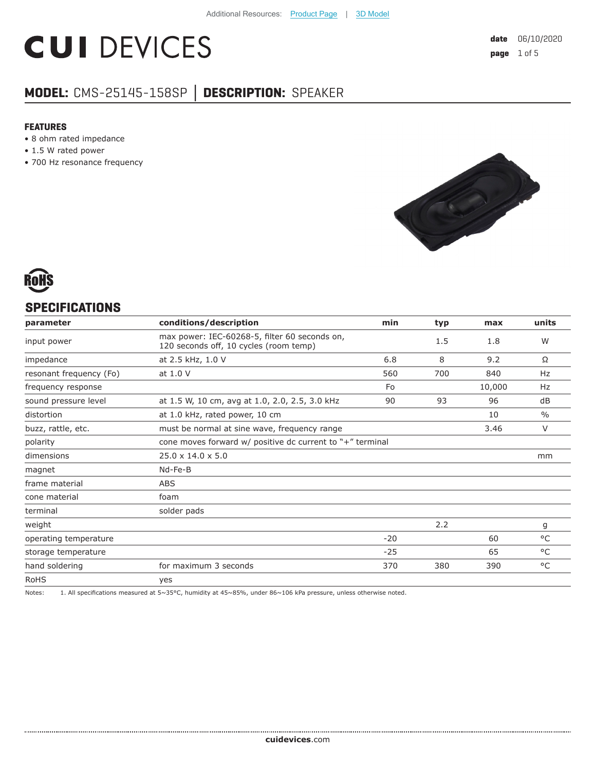# **CUI DEVICES**

### **MODEL:** CMS-25145-158SP **│ DESCRIPTION:** SPEAKER

#### **FEATURES**

- 8 ohm rated impedance
- 1.5 W rated power
- 700 Hz resonance frequency





#### **SPECIFICATIONS**

| parameter               | conditions/description                                                                  | min   | typ | max    | units         |
|-------------------------|-----------------------------------------------------------------------------------------|-------|-----|--------|---------------|
| input power             | max power: IEC-60268-5, filter 60 seconds on,<br>120 seconds off, 10 cycles (room temp) |       | 1.5 | 1.8    | W             |
| impedance               | at 2.5 kHz, 1.0 V                                                                       | 6.8   | 8   | 9.2    | Ω             |
| resonant frequency (Fo) | at 1.0 V                                                                                | 560   | 700 | 840    | Hz            |
| frequency response      |                                                                                         | Fo    |     | 10,000 | Hz            |
| sound pressure level    | at 1.5 W, 10 cm, avg at 1.0, 2.0, 2.5, 3.0 kHz                                          | 90    | 93  | 96     | dB            |
| distortion              | at 1.0 kHz, rated power, 10 cm                                                          |       |     | 10     | $\frac{0}{0}$ |
| buzz, rattle, etc.      | must be normal at sine wave, frequency range                                            |       |     | 3.46   | $\vee$        |
| polarity                | cone moves forward w/ positive dc current to "+" terminal                               |       |     |        |               |
| dimensions              | $25.0 \times 14.0 \times 5.0$                                                           |       |     |        | mm            |
| magnet                  | Nd-Fe-B                                                                                 |       |     |        |               |
| frame material          | ABS                                                                                     |       |     |        |               |
| cone material           | foam                                                                                    |       |     |        |               |
| terminal                | solder pads                                                                             |       |     |        |               |
| weight                  |                                                                                         |       | 2.2 |        | g             |
| operating temperature   |                                                                                         | $-20$ |     | 60     | °C            |
| storage temperature     |                                                                                         | $-25$ |     | 65     | $^{\circ}$ C  |
| hand soldering          | for maximum 3 seconds                                                                   | 370   | 380 | 390    | °C            |
| <b>RoHS</b>             | yes                                                                                     |       |     |        |               |

Notes: 1. All specifications measured at 5~35°C, humidity at 45~85%, under 86~106 kPa pressure, unless otherwise noted.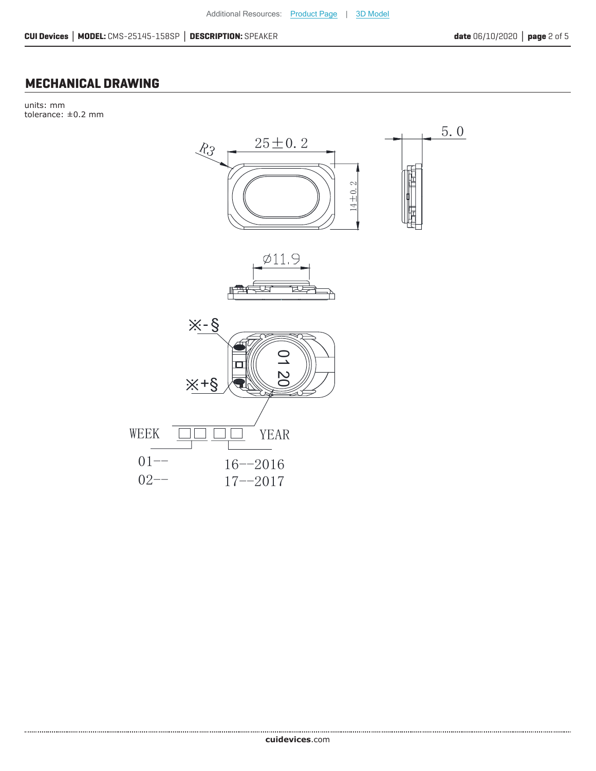#### **MECHANICAL DRAWING**

units: mm tolerance:  $\pm 0.2$  mm



cuidevices.com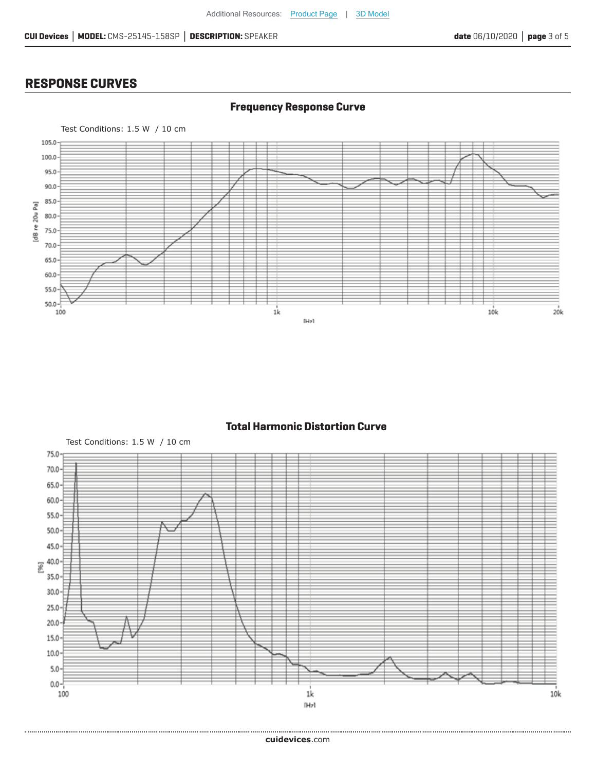#### **RESPONSE CURVES**

.....................





**Total Harmonic Distortion Curve**

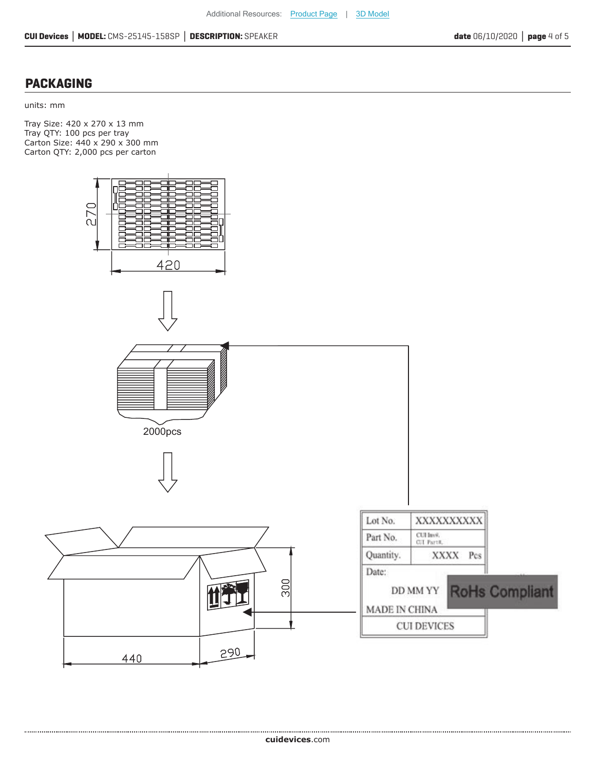#### **PACKAGING**

................................

units: mm

Tray Size: 420 x 270 x 13 mm Tray QTY: 100 pcs per tray Carton Size: 440 x 290 x 300 mm Carton QTY: 2,000 pcs per carton